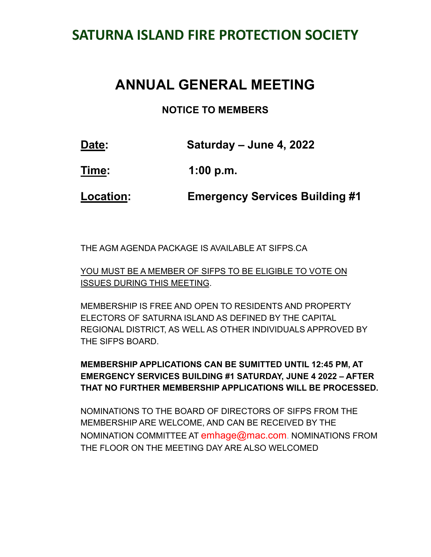# **SATURNA ISLAND FIRE PROTECTION SOCIETY**

# **ANNUAL GENERAL MEETING**

#### **NOTICE TO MEMBERS**

| Date: | Saturday – June 4, 2022 |  |  |  |
|-------|-------------------------|--|--|--|
| Time: | 1:00 p.m.               |  |  |  |

**Location: Emergency Services Building #1**

THE AGM AGENDA PACKAGE IS AVAILABLE AT SIFPS.CA

YOU MUST BE A MEMBER OF SIFPS TO BE ELIGIBLE TO VOTE ON ISSUES DURING THIS MEETING.

MEMBERSHIP IS FREE AND OPEN TO RESIDENTS AND PROPERTY ELECTORS OF SATURNA ISLAND AS DEFINED BY THE CAPITAL REGIONAL DISTRICT, AS WELL AS OTHER INDIVIDUALS APPROVED BY THE SIFPS BOARD.

#### **MEMBERSHIP APPLICATIONS CAN BE SUMITTED UNTIL 12:45 PM, AT EMERGENCY SERVICES BUILDING #1 SATURDAY, JUNE 4 2022 – AFTER THAT NO FURTHER MEMBERSHIP APPLICATIONS WILL BE PROCESSED.**

NOMINATIONS TO THE BOARD OF DIRECTORS OF SIFPS FROM THE MEMBERSHIP ARE WELCOME, AND CAN BE RECEIVED BY THE NOMINATION COMMITTEE AT emhage@mac.com. NOMINATIONS FROM THE FLOOR ON THE MEETING DAY ARE ALSO WELCOMED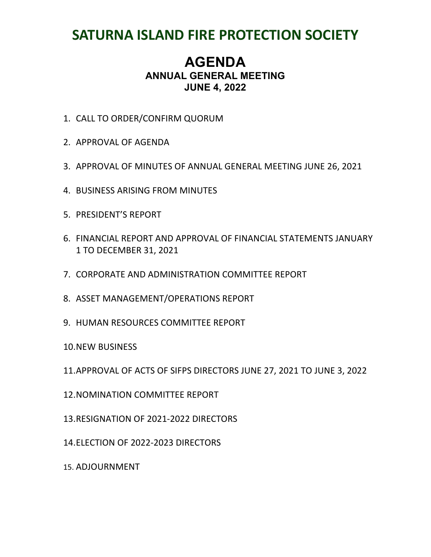# **SATURNA ISLAND FIRE PROTECTION SOCIETY**

### **AGENDA ANNUAL GENERAL MEETING JUNE 4, 2022**

- 1. CALL TO ORDER/CONFIRM QUORUM
- 2. APPROVAL OF AGENDA
- 3. APPROVAL OF MINUTES OF ANNUAL GENERAL MEETING JUNE 26, 2021
- 4. BUSINESS ARISING FROM MINUTES
- 5. PRESIDENT'S REPORT
- 6. FINANCIAL REPORT AND APPROVAL OF FINANCIAL STATEMENTS JANUARY 1 TO DECEMBER 31, 2021
- 7. CORPORATE AND ADMINISTRATION COMMITTEE REPORT
- 8. ASSET MANAGEMENT/OPERATIONS REPORT
- 9. HUMAN RESOURCES COMMITTEE REPORT

10.NEW BUSINESS

- 11.APPROVAL OF ACTS OF SIFPS DIRECTORS JUNE 27, 2021 TO JUNE 3, 2022
- 12.NOMINATION COMMITTEE REPORT
- 13.RESIGNATION OF 2021-2022 DIRECTORS
- 14.ELECTION OF 2022-2023 DIRECTORS
- 15. ADJOURNMENT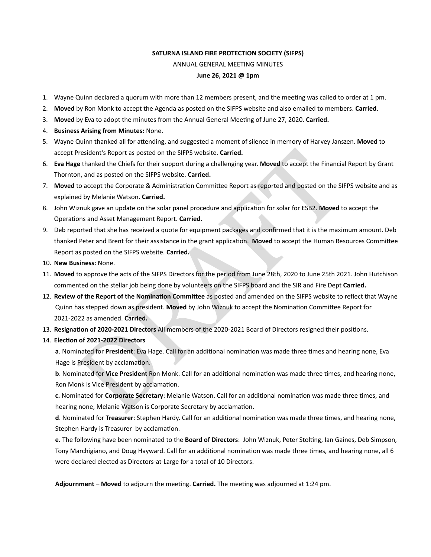#### **SATURNA ISLAND FIRE PROTECTION SOCIETY (SIFPS)**  ANNUAL GENERAL MEETING MINUTES **June 26, 2021 @ 1pm**

- 1. Wayne Quinn declared a quorum with more than 12 members present, and the meeting was called to order at 1 pm.
- 2. **Moved** by Ron Monk to accept the Agenda as posted on the SIFPS website and also emailed to members. **Carried**.
- 3. Moved by Eva to adopt the minutes from the Annual General Meeting of June 27, 2020. Carried.
- 4. **Business Arising from Minutes:** None.
- 5. Wayne Quinn thanked all for attending, and suggested a moment of silence in memory of Harvey Janszen. Moved to accept President's Report as posted on the SIFPS website. **Carried.**
- 6. **Eva Hage** thanked the Chiefs for their support during a challenging year. **Moved** to accept the Financial Report by Grant Thornton, and as posted on the SIFPS website. **Carried.**
- 7. Moved to accept the Corporate & Administration Committee Report as reported and posted on the SIFPS website and as explained by Melanie Watson. **Carried.**
- 8. John Wiznuk gave an update on the solar panel procedure and application for solar for ESB2. Moved to accept the Operations and Asset Management Report. Carried.
- resident's Report as posted on the SIFPS website. **Carried.**<br>
thanked the Chiefs for their support during a challenging year. Moved to accept the Financia<br>
n, and as posted on the SIFPS website. **Carried.**<br>
to accept the C 9. Deb reported that she has received a quote for equipment packages and confirmed that it is the maximum amount. Deb thanked Peter and Brent for their assistance in the grant application. Moved to accept the Human Resources Committee Report as posted on the SIFPS website. **Carried.**
- 10. **New Business:** None.
- 11. **Moved** to approve the acts of the SIFPS Directors for the period from June 28th, 2020 to June 25th 2021. John Hutchison commented on the stellar job being done by volunteers on the SIFPS board and the SIR and Fire Dept **Carried.**
- 12. Review of the Report of the Nomination Committee as posted and amended on the SIFPS website to reflect that Wayne Quinn has stepped down as president. Moved by John Wiznuk to accept the Nomination Committee Report for 2021-2022 as amended. **Carried.**
- 13. Resignation of 2020-2021 Directors All members of the 2020-2021 Board of Directors resigned their positions.
- 14. **ElecPon of 2021-2022 Directors**

a. Nominated for President: Eva Hage. Call for an additional nomination was made three times and hearing none, Eva Hage is President by acclamation.

**b**. Nominated for Vice President Ron Monk. Call for an additional nomination was made three times, and hearing none, Ron Monk is Vice President by acclamation.

**c.** Nominated for **Corporate Secretary**: Melanie Watson. Call for an additional nomination was made three times, and hearing none, Melanie Watson is Corporate Secretary by acclamation.

**d**. Nominated for Treasurer: Stephen Hardy. Call for an additional nomination was made three times, and hearing none, Stephen Hardy is Treasurer by acclamation.

**e.** The following have been nominated to the **Board of Directors**: John Wiznuk, Peter Stolting, Ian Gaines, Deb Simpson, Tony Marchigiano, and Doug Hayward. Call for an additional nomination was made three times, and hearing none, all 6 were declared elected as Directors-at-Large for a total of 10 Directors.

Adjournment – Moved to adjourn the meeting. Carried. The meeting was adjourned at 1:24 pm.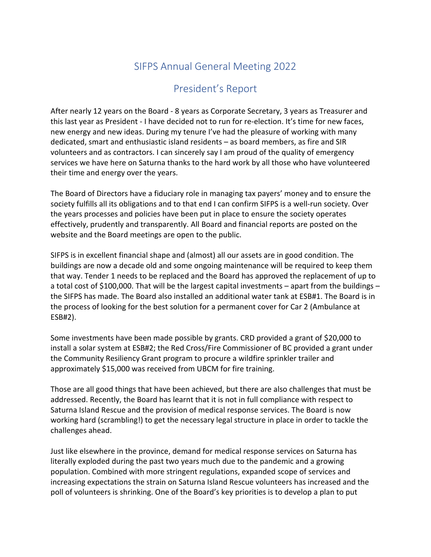## SIFPS Annual General Meeting 2022

### President's Report

After nearly 12 years on the Board - 8 years as Corporate Secretary, 3 years as Treasurer and this last year as President - I have decided not to run for re-election. It's time for new faces, new energy and new ideas. During my tenure I've had the pleasure of working with many dedicated, smart and enthusiastic island residents – as board members, as fire and SIR volunteers and as contractors. I can sincerely say I am proud of the quality of emergency services we have here on Saturna thanks to the hard work by all those who have volunteered their time and energy over the years.

The Board of Directors have a fiduciary role in managing tax payers' money and to ensure the society fulfills all its obligations and to that end I can confirm SIFPS is a well-run society. Over the years processes and policies have been put in place to ensure the society operates effectively, prudently and transparently. All Board and financial reports are posted on the website and the Board meetings are open to the public.

SIFPS is in excellent financial shape and (almost) all our assets are in good condition. The buildings are now a decade old and some ongoing maintenance will be required to keep them that way. Tender 1 needs to be replaced and the Board has approved the replacement of up to a total cost of \$100,000. That will be the largest capital investments – apart from the buildings – the SIFPS has made. The Board also installed an additional water tank at ESB#1. The Board is in the process of looking for the best solution for a permanent cover for Car 2 (Ambulance at ESB#2).

Some investments have been made possible by grants. CRD provided a grant of \$20,000 to install a solar system at ESB#2; the Red Cross/Fire Commissioner of BC provided a grant under the Community Resiliency Grant program to procure a wildfire sprinkler trailer and approximately \$15,000 was received from UBCM for fire training.

Those are all good things that have been achieved, but there are also challenges that must be addressed. Recently, the Board has learnt that it is not in full compliance with respect to Saturna Island Rescue and the provision of medical response services. The Board is now working hard (scrambling!) to get the necessary legal structure in place in order to tackle the challenges ahead.

Just like elsewhere in the province, demand for medical response services on Saturna has literally exploded during the past two years much due to the pandemic and a growing population. Combined with more stringent regulations, expanded scope of services and increasing expectations the strain on Saturna Island Rescue volunteers has increased and the poll of volunteers is shrinking. One of the Board's key priorities is to develop a plan to put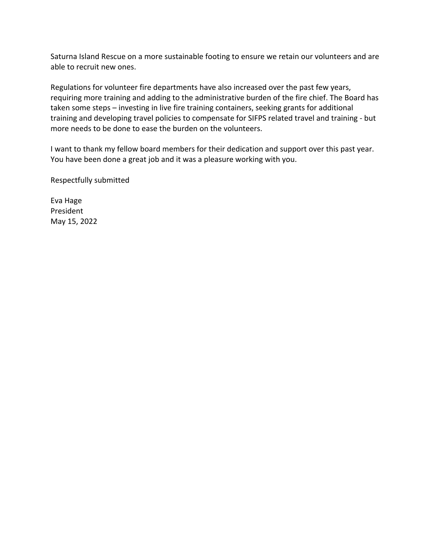Saturna Island Rescue on a more sustainable footing to ensure we retain our volunteers and are able to recruit new ones.

Regulations for volunteer fire departments have also increased over the past few years, requiring more training and adding to the administrative burden of the fire chief. The Board has taken some steps – investing in live fire training containers, seeking grants for additional training and developing travel policies to compensate for SIFPS related travel and training - but more needs to be done to ease the burden on the volunteers.

I want to thank my fellow board members for their dedication and support over this past year. You have been done a great job and it was a pleasure working with you.

Respectfully submitted

Eva Hage President May 15, 2022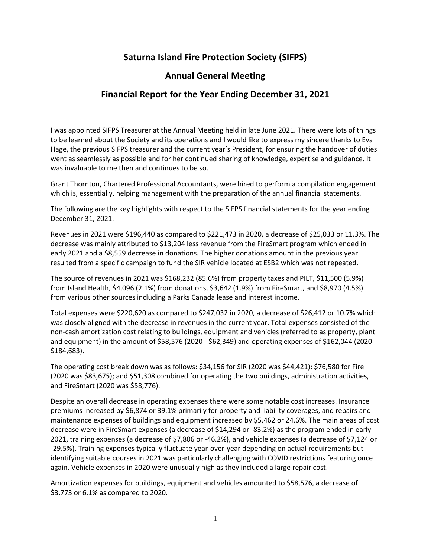#### **Saturna Island Fire Protection Society (SIFPS)**

#### **Annual General Meeting**

#### **Financial Report for the Year Ending December 31, 2021**

I was appointed SIFPS Treasurer at the Annual Meeting held in late June 2021. There were lots of things to be learned about the Society and its operations and I would like to express my sincere thanks to Eva Hage, the previous SIFPS treasurer and the current year's President, for ensuring the handover of duties went as seamlessly as possible and for her continued sharing of knowledge, expertise and guidance. It was invaluable to me then and continues to be so.

Grant Thornton, Chartered Professional Accountants, were hired to perform a compilation engagement which is, essentially, helping management with the preparation of the annual financial statements.

The following are the key highlights with respect to the SIFPS financial statements for the year ending December 31, 2021.

Revenues in 2021 were \$196,440 as compared to \$221,473 in 2020, a decrease of \$25,033 or 11.3%. The decrease was mainly attributed to \$13,204 less revenue from the FireSmart program which ended in early 2021 and a \$8,559 decrease in donations. The higher donations amount in the previous year resulted from a specific campaign to fund the SIR vehicle located at ESB2 which was not repeated.

The source of revenues in 2021 was \$168,232 (85.6%) from property taxes and PILT, \$11,500 (5.9%) from Island Health, \$4,096 (2.1%) from donations, \$3,642 (1.9%) from FireSmart, and \$8,970 (4.5%) from various other sources including a Parks Canada lease and interest income.

Total expenses were \$220,620 as compared to \$247,032 in 2020, a decrease of \$26,412 or 10.7% which was closely aligned with the decrease in revenues in the current year. Total expenses consisted of the non-cash amortization cost relating to buildings, equipment and vehicles (referred to as property, plant and equipment) in the amount of \$58,576 (2020 - \$62,349) and operating expenses of \$162,044 (2020 - \$184,683).

The operating cost break down was as follows: \$34,156 for SIR (2020 was \$44,421); \$76,580 for Fire (2020 was \$83,675); and \$51,308 combined for operating the two buildings, administration activities, and FireSmart (2020 was \$58,776).

Despite an overall decrease in operating expenses there were some notable cost increases. Insurance premiums increased by \$6,874 or 39.1% primarily for property and liability coverages, and repairs and maintenance expenses of buildings and equipment increased by \$5,462 or 24.6%. The main areas of cost decrease were in FireSmart expenses (a decrease of \$14,294 or -83.2%) as the program ended in early 2021, training expenses (a decrease of \$7,806 or -46.2%), and vehicle expenses (a decrease of \$7,124 or -29.5%). Training expenses typically fluctuate year-over-year depending on actual requirements but identifying suitable courses in 2021 was particularly challenging with COVID restrictions featuring once again. Vehicle expenses in 2020 were unusually high as they included a large repair cost.

Amortization expenses for buildings, equipment and vehicles amounted to \$58,576, a decrease of \$3,773 or 6.1% as compared to 2020.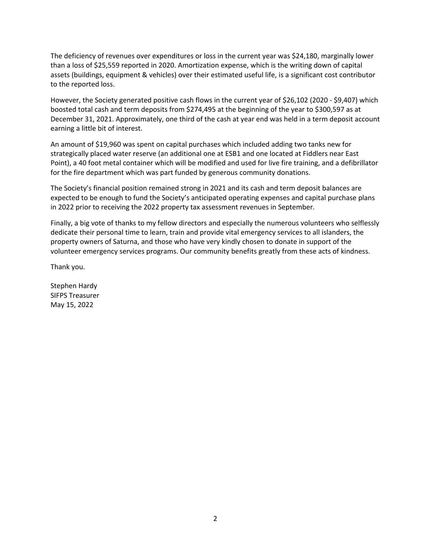The deficiency of revenues over expenditures or loss in the current year was \$24,180, marginally lower than a loss of \$25,559 reported in 2020. Amortization expense, which is the writing down of capital assets (buildings, equipment & vehicles) over their estimated useful life, is a significant cost contributor to the reported loss.

However, the Society generated positive cash flows in the current year of \$26,102 (2020 - \$9,407) which boosted total cash and term deposits from \$274,495 at the beginning of the year to \$300,597 as at December 31, 2021. Approximately, one third of the cash at year end was held in a term deposit account earning a little bit of interest.

An amount of \$19,960 was spent on capital purchases which included adding two tanks new for strategically placed water reserve (an additional one at ESB1 and one located at Fiddlers near East Point), a 40 foot metal container which will be modified and used for live fire training, and a defibrillator for the fire department which was part funded by generous community donations.

The Society's financial position remained strong in 2021 and its cash and term deposit balances are expected to be enough to fund the Society's anticipated operating expenses and capital purchase plans in 2022 prior to receiving the 2022 property tax assessment revenues in September.

Finally, a big vote of thanks to my fellow directors and especially the numerous volunteers who selflessly dedicate their personal time to learn, train and provide vital emergency services to all islanders, the property owners of Saturna, and those who have very kindly chosen to donate in support of the volunteer emergency services programs. Our community benefits greatly from these acts of kindness.

Thank you.

Stephen Hardy SIFPS Treasurer May 15, 2022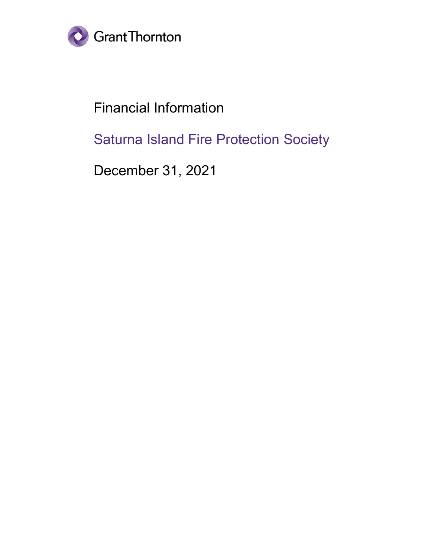

Financial Information

Saturna Island Fire Protection Society

December 31, 2021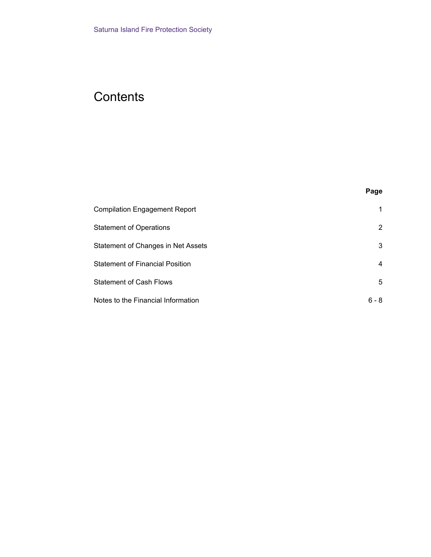# **Contents**

| . .<br>×<br>×<br>۹ |  |
|--------------------|--|
|--------------------|--|

| <b>Compilation Engagement Report</b>   |         |
|----------------------------------------|---------|
| <b>Statement of Operations</b>         | 2       |
| Statement of Changes in Net Assets     | 3       |
| <b>Statement of Financial Position</b> | 4       |
| <b>Statement of Cash Flows</b>         | 5       |
| Notes to the Financial Information     | $6 - 8$ |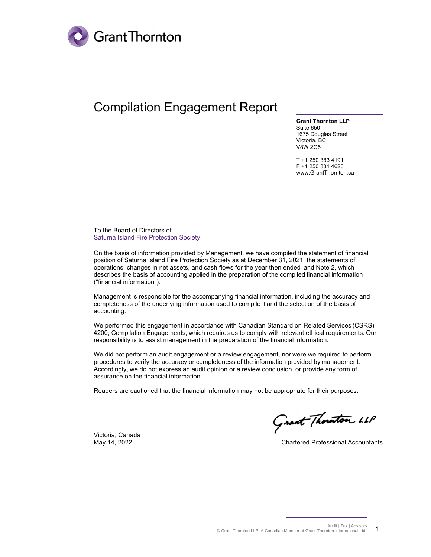

# Compilation Engagement Report

**Grant Thornton LLP** Suite 650 1675 Douglas Street Victoria, BC V8W 2G5

T +1 250 383 4191 F +1 250 381 4623 www.GrantThornton.ca

To the Board of Directors of Saturna Island Fire Protection Society

On the basis of information provided by Management, we have compiled the statement of financial position of Saturna Island Fire Protection Society as at December 31, 2021, the statements of operations, changes in net assets, and cash flows for the year then ended, and Note 2, which describes the basis of accounting applied in the preparation of the compiled financial information ("financial information").

Management is responsible for the accompanying financial information, including the accuracy and completeness of the underlying information used to compile it and the selection of the basis of accounting.

We performed this engagement in accordance with Canadian Standard on Related Services (CSRS) 4200, Compilation Engagements, which requires us to comply with relevant ethical requirements. Our responsibility is to assist management in the preparation of the financial information.

We did not perform an audit engagement or a review engagement, nor were we required to perform procedures to verify the accuracy or completeness of the information provided by management. Accordingly, we do not express an audit opinion or a review conclusion, or provide any form of assurance on the financial information.

Readers are cautioned that the financial information may not be appropriate for their purposes.

Grant Thornton LLP

May 14, 2022 Chartered Professional Accountants

Victoria, Canada

Audit | Tax | Advisory © Grant Thornton LLP. A Canadian Member of Grant Thornton International Ltd 1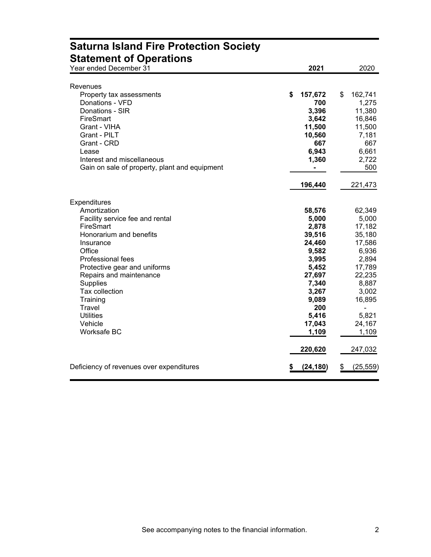| <b>Saturna ISIANU FIRE FTULGULUM SUCIGLY</b><br><b>Statement of Operations</b> |                |                 |
|--------------------------------------------------------------------------------|----------------|-----------------|
| Year ended December 31                                                         | 2021           | 2020            |
| Revenues                                                                       |                |                 |
| Property tax assessments                                                       | \$<br>157,672  | 162,741<br>\$   |
| Donations - VFD                                                                | 700            | 1,275           |
| Donations - SIR                                                                | 3,396          | 11,380          |
| FireSmart                                                                      | 3,642          | 16,846          |
| Grant - VIHA                                                                   | 11,500         | 11,500          |
| Grant - PILT                                                                   | 10,560         | 7,181           |
| Grant - CRD                                                                    | 667            | 667             |
| Lease                                                                          | 6,943          | 6,661           |
| Interest and miscellaneous                                                     | 1,360          | 2,722           |
| Gain on sale of property, plant and equipment                                  | $\blacksquare$ | 500             |
|                                                                                |                |                 |
|                                                                                | 196,440        | 221,473         |
| Expenditures                                                                   |                |                 |
| Amortization                                                                   | 58,576         | 62,349          |
| Facility service fee and rental                                                | 5,000          | 5,000           |
| FireSmart                                                                      | 2,878          | 17,182          |
| Honorarium and benefits                                                        | 39,516         | 35,180          |
| Insurance                                                                      | 24,460         | 17,586          |
| Office                                                                         | 9,582          | 6,936           |
| Professional fees                                                              | 3,995          | 2,894           |
| Protective gear and uniforms                                                   | 5,452          | 17,789          |
| Repairs and maintenance                                                        | 27,697         | 22,235          |
| <b>Supplies</b>                                                                | 7,340          | 8,887           |
| Tax collection                                                                 | 3,267          | 3,002           |
| Training                                                                       | 9,089          | 16,895          |
| Travel                                                                         | 200            |                 |
| <b>Utilities</b>                                                               | 5,416          | 5,821           |
| Vehicle                                                                        | 17,043         | 24,167          |
| Worksafe BC                                                                    | 1,109          | 1,109           |
|                                                                                | 220,620        | 247,032         |
| Deficiency of revenues over expenditures                                       | (24, 180)      | (25, 559)<br>\$ |

# **Saturna Island Fire Protection Society**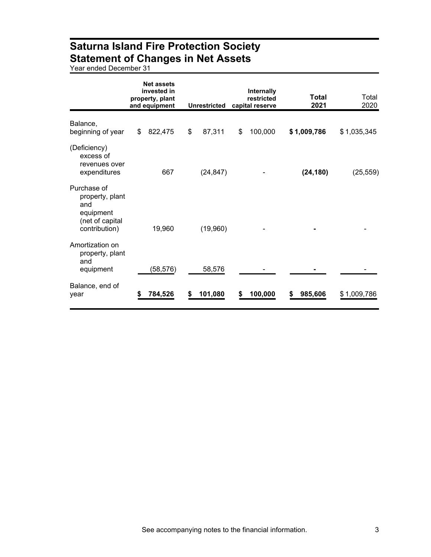### **Saturna Island Fire Protection Society Statement of Changes in Net Assets**

Year ended December 31

|                                                                                        |    | <b>Net assets</b><br>invested in<br>property, plant<br>and equipment | <b>Unrestricted</b> | Internally<br>restricted<br>capital reserve | <b>Total</b><br>2021 | Total<br>2020 |
|----------------------------------------------------------------------------------------|----|----------------------------------------------------------------------|---------------------|---------------------------------------------|----------------------|---------------|
| Balance,<br>beginning of year                                                          | \$ | 822,475                                                              | \$<br>87,311        | \$<br>100,000                               | \$1,009,786          | \$1,035,345   |
| (Deficiency)<br>excess of<br>revenues over<br>expenditures                             |    | 667                                                                  | (24, 847)           |                                             | (24, 180)            | (25, 559)     |
| Purchase of<br>property, plant<br>and<br>equipment<br>(net of capital<br>contribution) |    | 19,960                                                               | (19,960)            |                                             |                      |               |
| Amortization on<br>property, plant<br>and<br>equipment                                 |    | (58,576)                                                             | 58,576              |                                             |                      |               |
| Balance, end of<br>year                                                                | S  | 784,526                                                              | 101,080             | 100,000                                     | 985,606              | \$1,009,786   |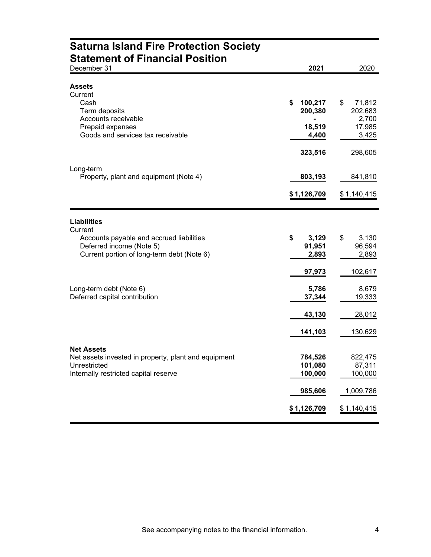| <b>Saturna Island Fire Protection Society</b>                                                                                      |                                |                                     |
|------------------------------------------------------------------------------------------------------------------------------------|--------------------------------|-------------------------------------|
| <b>Statement of Financial Position</b><br>December 31                                                                              | 2021                           | 2020                                |
| <b>Assets</b><br>Current<br>Cash                                                                                                   | \$<br>100,217                  | \$<br>71,812                        |
| Term deposits<br>Accounts receivable<br>Prepaid expenses<br>Goods and services tax receivable                                      | 200,380<br>18,519<br>4,400     | 202,683<br>2,700<br>17,985<br>3,425 |
|                                                                                                                                    | 323,516                        | 298,605                             |
| Long-term<br>Property, plant and equipment (Note 4)                                                                                | 803,193                        | 841,810                             |
|                                                                                                                                    | \$1,126,709                    | \$1,140,415                         |
| <b>Liabilities</b><br>Current                                                                                                      |                                |                                     |
| Accounts payable and accrued liabilities<br>Deferred income (Note 5)<br>Current portion of long-term debt (Note 6)                 | \$<br>3,129<br>91,951<br>2,893 | \$<br>3,130<br>96,594<br>2,893      |
|                                                                                                                                    | 97,973                         | 102,617                             |
| Long-term debt (Note 6)<br>Deferred capital contribution                                                                           | 5,786<br>37,344                | 8,679<br>19,333                     |
|                                                                                                                                    | <u>43,130</u>                  | 28,012                              |
|                                                                                                                                    | 141,103                        | 130,629                             |
| <b>Net Assets</b><br>Net assets invested in property, plant and equipment<br>Unrestricted<br>Internally restricted capital reserve | 784,526<br>101,080<br>100,000  | 822,475<br>87,311<br>100,000        |
|                                                                                                                                    | 985,606                        | 1,009,786                           |
|                                                                                                                                    | \$1,126,709                    | \$1,140,415                         |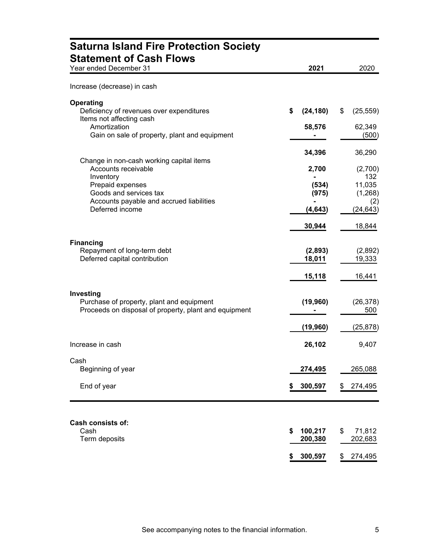| <b>Saturna Island Fire Protection Society</b><br><b>Statement of Cash Flows</b>                                 |                          |                          |
|-----------------------------------------------------------------------------------------------------------------|--------------------------|--------------------------|
| Year ended December 31                                                                                          | 2021                     | 2020                     |
| Increase (decrease) in cash                                                                                     |                          |                          |
| <b>Operating</b><br>Deficiency of revenues over expenditures<br>Items not affecting cash                        | \$<br>(24, 180)          | \$<br>(25, 559)          |
| Amortization<br>Gain on sale of property, plant and equipment                                                   | 58,576                   | 62,349<br>(500)          |
| Change in non-cash working capital items                                                                        | 34,396                   | 36,290                   |
| Accounts receivable<br>Inventory                                                                                | 2,700                    | (2,700)<br>132           |
| Prepaid expenses<br>Goods and services tax<br>Accounts payable and accrued liabilities                          | (534)<br>(975)           | 11,035<br>(1,268)<br>(2) |
| Deferred income                                                                                                 | (4, 643)                 | (24, 643)                |
|                                                                                                                 | 30,944                   | 18,844                   |
| <b>Financing</b><br>Repayment of long-term debt<br>Deferred capital contribution                                | (2,893)<br>18,011        | (2,892)<br>19,333        |
|                                                                                                                 | 15,118                   | 16,441                   |
| Investing<br>Purchase of property, plant and equipment<br>Proceeds on disposal of property, plant and equipment | (19, 960)                | (26, 378)<br>500         |
|                                                                                                                 | (19, 960)                | (25, 878)                |
| Increase in cash                                                                                                | 26,102                   | 9,407                    |
| Cash<br>Beginning of year                                                                                       | 274,495                  | 265,088                  |
| End of year                                                                                                     | 300,597                  | 274,495                  |
|                                                                                                                 |                          |                          |
| Cash consists of:<br>Cash<br>Term deposits                                                                      | 100,217<br>\$<br>200,380 | \$<br>71,812<br>202,683  |
|                                                                                                                 | 300,597<br>\$            | 274,495                  |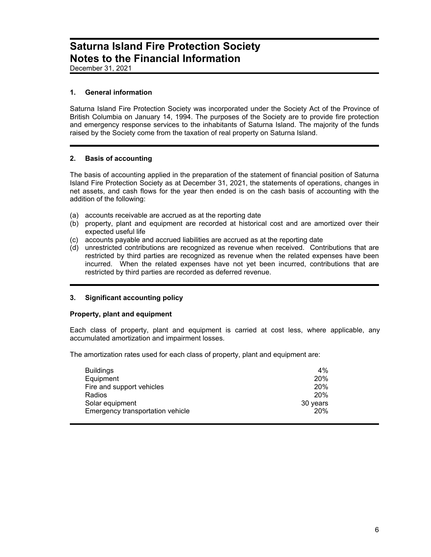### **Saturna Island Fire Protection Society Notes to the Financial Information**

December 31, 2021

#### **1. General information**

Saturna Island Fire Protection Society was incorporated under the Society Act of the Province of British Columbia on January 14, 1994. The purposes of the Society are to provide fire protection and emergency response services to the inhabitants of Saturna Island. The majority of the funds raised by the Society come from the taxation of real property on Saturna Island.

#### **2. Basis of accounting**

The basis of accounting applied in the preparation of the statement of financial position of Saturna Island Fire Protection Society as at December 31, 2021, the statements of operations, changes in net assets, and cash flows for the year then ended is on the cash basis of accounting with the addition of the following:

- (a) accounts receivable are accrued as at the reporting date
- (b) property, plant and equipment are recorded at historical cost and are amortized over their expected useful life
- (c) accounts payable and accrued liabilities are accrued as at the reporting date
- (d) unrestricted contributions are recognized as revenue when received. Contributions that are restricted by third parties are recognized as revenue when the related expenses have been incurred. When the related expenses have not yet been incurred, contributions that are restricted by third parties are recorded as deferred revenue.

#### **3. Significant accounting policy**

#### **Property, plant and equipment**

Each class of property, plant and equipment is carried at cost less, where applicable, any accumulated amortization and impairment losses.

The amortization rates used for each class of property, plant and equipment are:

| <b>Buildings</b>                 | 4%         |
|----------------------------------|------------|
| Equipment                        | 20%        |
| Fire and support vehicles        | 20%        |
| Radios                           | <b>20%</b> |
| Solar equipment                  | 30 years   |
| Emergency transportation vehicle | 20%        |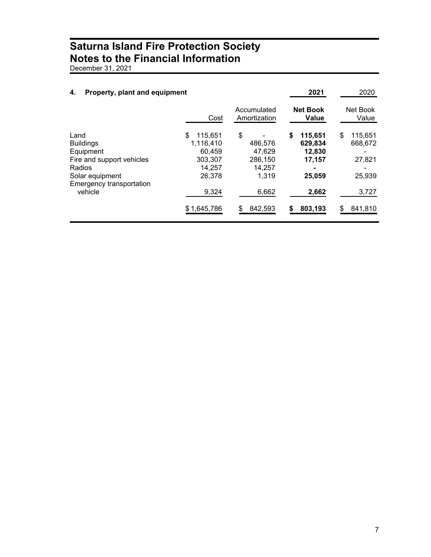### **Saturna Island Fire Protection Society Notes to the Financial Information**

December 31, 2021

| Property, plant and equipment<br>4.                                                                                                    |                                                                                             |                                                                           | 2021                                                                       | 2020                                                             |
|----------------------------------------------------------------------------------------------------------------------------------------|---------------------------------------------------------------------------------------------|---------------------------------------------------------------------------|----------------------------------------------------------------------------|------------------------------------------------------------------|
|                                                                                                                                        | Cost                                                                                        | Accumulated<br>Amortization                                               | <b>Net Book</b><br>Value                                                   | Net Book<br>Value                                                |
| Land<br><b>Buildings</b><br>Equipment<br>Fire and support vehicles<br>Radios<br>Solar equipment<br>Emergency transportation<br>vehicle | \$<br>115.651<br>1,116,410<br>60.459<br>303.307<br>14,257<br>26.378<br>9,324<br>\$1,645,786 | \$<br>486,576<br>47.629<br>286.150<br>14,257<br>1,319<br>6,662<br>842,593 | \$<br>115,651<br>629,834<br>12,830<br>17,157<br>25,059<br>2,662<br>803,193 | \$<br>115,651<br>668,672<br>27,821<br>25,939<br>3,727<br>841,810 |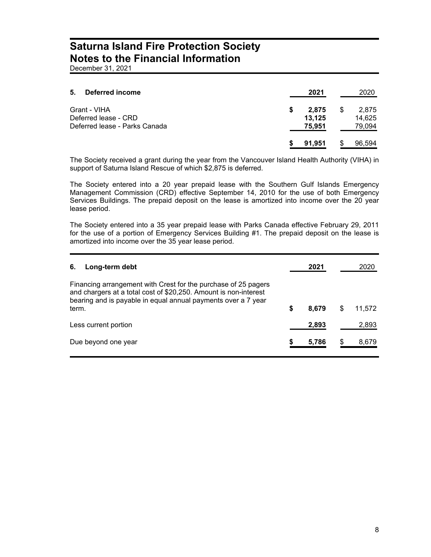### **Saturna Island Fire Protection Society Notes to the Financial Information**

December 31, 2021

| 5.<br>Deferred income                                                 | 2021                            | 2020                            |
|-----------------------------------------------------------------------|---------------------------------|---------------------------------|
| Grant - VIHA<br>Deferred lease - CRD<br>Deferred lease - Parks Canada | \$<br>2,875<br>13,125<br>75,951 | \$<br>2,875<br>14,625<br>79,094 |
|                                                                       | 91.951                          | 96,594                          |

The Society received a grant during the year from the Vancouver Island Health Authority (VIHA) in support of Saturna Island Rescue of which \$2,875 is deferred.

The Society entered into a 20 year prepaid lease with the Southern Gulf Islands Emergency Management Commission (CRD) effective September 14, 2010 for the use of both Emergency Services Buildings. The prepaid deposit on the lease is amortized into income over the 20 year lease period.

The Society entered into a 35 year prepaid lease with Parks Canada effective February 29, 2011 for the use of a portion of Emergency Services Building #1. The prepaid deposit on the lease is amortized into income over the 35 year lease period.

| 6.    | Long-term debt                                                                                                                                                                                      | 2021        |   |        |
|-------|-----------------------------------------------------------------------------------------------------------------------------------------------------------------------------------------------------|-------------|---|--------|
| term. | Financing arrangement with Crest for the purchase of 25 pagers<br>and chargers at a total cost of \$20,250. Amount is non-interest<br>bearing and is payable in equal annual payments over a 7 year | \$<br>8.679 | S | 11,572 |
|       | Less current portion                                                                                                                                                                                | 2,893       |   | 2,893  |
|       | Due beyond one year                                                                                                                                                                                 | 5,786       |   | 8,679  |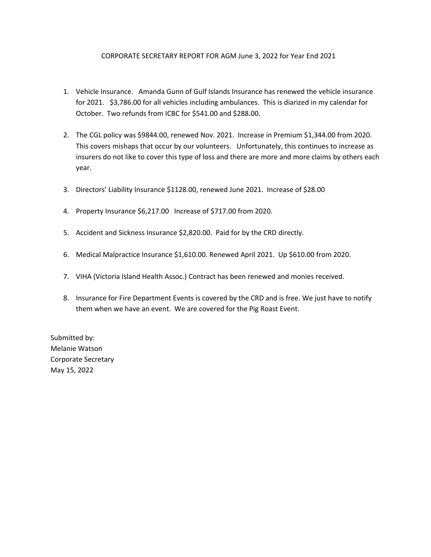#### CORPORATE SECRETARY REPORT FOR AGM June 3, 2022 for Year End 2021

- 1. Vehicle Insurance. Amanda Gunn of Gulf Islands Insurance has renewed the vehicle insurance for 2021. \$3,786.00 for all vehicles including ambulances. This is diarized in my calendar for October. Two refunds from ICBC for \$541.00 and \$288.00.
- 2. The CGL policy was \$9844.00, renewed Nov. 2021. Increase in Premium \$1,344.00 from 2020. This covers mishaps that occur by our volunteers. Unfortunately, this continues to increase as insurers do not like to cover this type of loss and there are more and more claims by others each year.
- 3. Directors' Liability Insurance \$1128.00, renewed June 2021. Increase of \$28.00
- 4. Property Insurance \$6,217.00 Increase of \$717.00 from 2020.
- 5. Accident and Sickness Insurance \$2,820.00. Paid for by the CRD directly.
- 6. Medical Malpractice Insurance \$1,610.00. Renewed April 2021. Up \$610.00 from 2020.
- 7. VIHA (Victoria Island Health Assoc.) Contract has been renewed and monies received.
- 8. Insurance for Fire Department Events is covered by the CRD and is free. We just have to notify them when we have an event. We are covered for the Pig Roast Event.

Submitted by: Melanie Watson Corporate Secretary May 15, 2022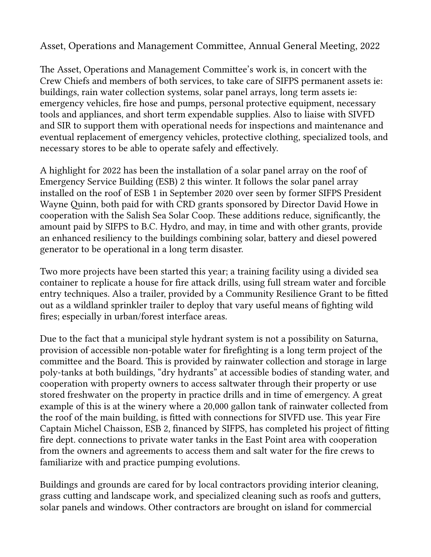Asset, Operations and Management Commitee, Annual General Meeting, 2022

The Asset, Operations and Management Committee's work is, in concert with the Crew Chiefs and members of both services, to take care of SIFPS permanent assets ie: buildings, rain water collection systems, solar panel arrays, long term assets ie: emergency vehicles, fre hose and pumps, personal protective equipment, necessary tools and appliances, and short term expendable supplies. Also to liaise with SIVFD and SIR to support them with operational needs for inspections and maintenance and eventual replacement of emergency vehicles, protective clothing, specialized tools, and necessary stores to be able to operate safely and effectively.

A highlight for 2022 has been the installation of a solar panel array on the roof of Emergency Service Building (ESB) 2 this winter. It follows the solar panel array installed on the roof of ESB 1 in September 2020 over seen by former SIFPS President Wayne Quinn, both paid for with CRD grants sponsored by Director David Howe in cooperation with the Salish Sea Solar Coop. These additions reduce, significantly, the amount paid by SIFPS to B.C. Hydro, and may, in time and with other grants, provide an enhanced resiliency to the buildings combining solar, batery and diesel powered generator to be operational in a long term disaster.

Two more projects have been started this year; a training facility using a divided sea container to replicate a house for fre atack drills, using full stream water and forcible entry techniques. Also a trailer, provided by a Community Resilience Grant to be fitted out as a wildland sprinkler trailer to deploy that vary useful means of fghting wild fres; especially in urban/forest interface areas.

Due to the fact that a municipal style hydrant system is not a possibility on Saturna, provision of accessible non-potable water for frefghting is a long term project of the committee and the Board. This is provided by rainwater collection and storage in large poly-tanks at both buildings, "dry hydrants" at accessible bodies of standing water, and cooperation with property owners to access saltwater through their property or use stored freshwater on the property in practice drills and in time of emergency. A great example of this is at the winery where a 20,000 gallon tank of rainwater collected from the roof of the main building, is fitted with connections for SIVFD use. This year Fire Captain Michel Chaisson, ESB 2, fnanced by SIFPS, has completed his project of fting fre dept. connections to private water tanks in the East Point area with cooperation from the owners and agreements to access them and salt water for the fre crews to familiarize with and practice pumping evolutions.

Buildings and grounds are cared for by local contractors providing interior cleaning, grass cuting and landscape work, and specialized cleaning such as roofs and guters, solar panels and windows. Other contractors are brought on island for commercial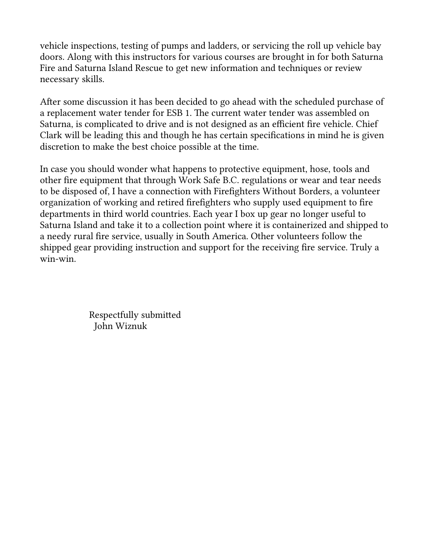vehicle inspections, testing of pumps and ladders, or servicing the roll up vehicle bay doors. Along with this instructors for various courses are brought in for both Saturna Fire and Saturna Island Rescue to get new information and techniques or review necessary skills.

Afer some discussion it has been decided to go ahead with the scheduled purchase of a replacement water tender for ESB 1. The current water tender was assembled on Saturna, is complicated to drive and is not designed as an efficient fire vehicle. Chief Clark will be leading this and though he has certain specifcations in mind he is given discretion to make the best choice possible at the time.

In case you should wonder what happens to protective equipment, hose, tools and other fre equipment that through Work Safe B.C. regulations or wear and tear needs to be disposed of, I have a connection with Firefghters Without Borders, a volunteer organization of working and retired frefghters who supply used equipment to fre departments in third world countries. Each year I box up gear no longer useful to Saturna Island and take it to a collection point where it is containerized and shipped to a needy rural fre service, usually in South America. Other volunteers follow the shipped gear providing instruction and support for the receiving fre service. Truly a win-win.

> Respectfully submited John Wiznuk